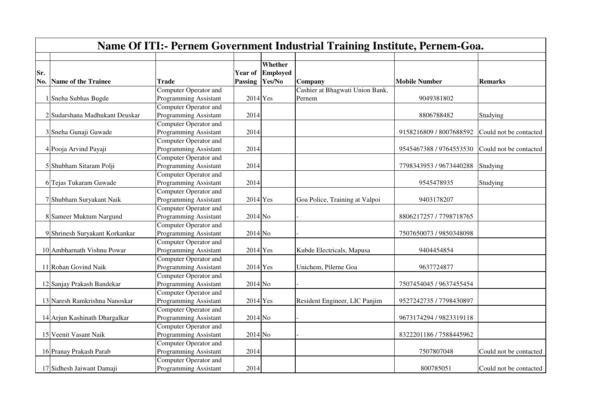|     | <b>Name Of ITI:- Pernem Government Industrial Training Institute, Pernem-Goa.</b> |                              |                 |                 |                                 |                         |                        |  |  |  |
|-----|-----------------------------------------------------------------------------------|------------------------------|-----------------|-----------------|---------------------------------|-------------------------|------------------------|--|--|--|
|     |                                                                                   |                              |                 |                 |                                 |                         |                        |  |  |  |
|     |                                                                                   |                              |                 | Whether         |                                 |                         |                        |  |  |  |
| Sr. |                                                                                   |                              | <b>Year of</b>  | <b>Employed</b> |                                 |                         |                        |  |  |  |
| No. | Name of the Trainee                                                               | Trade                        | Passing  Yes/No |                 | Company                         | <b>Mobile Number</b>    | Remarks                |  |  |  |
|     |                                                                                   | Computer Operator and        |                 |                 | Cashier at Bhagwati Union Bank, |                         |                        |  |  |  |
|     | Sneha Subhas Bugde                                                                | <b>Programming Assistant</b> | $2014$ Yes      |                 | Pernem                          | 9049381802              |                        |  |  |  |
|     |                                                                                   | <b>Computer Operator and</b> |                 |                 |                                 |                         |                        |  |  |  |
|     | Sudarshana Madhukant Deuskar                                                      | <b>Programming Assistant</b> | 2014            |                 |                                 | 8806788482              | Studying               |  |  |  |
|     |                                                                                   | Computer Operator and        |                 |                 |                                 |                         |                        |  |  |  |
|     | 3 Sneha Gunaji Gawade                                                             | <b>Programming Assistant</b> | 2014            |                 |                                 | 9158216809 / 8007688592 | Could not be contacted |  |  |  |
|     |                                                                                   | Computer Operator and        |                 |                 |                                 |                         |                        |  |  |  |
|     | 4 Pooja Arvind Payaji                                                             | <b>Programming Assistant</b> | 2014            |                 |                                 | 9545467388 / 9764553530 | Could not be contacted |  |  |  |
|     |                                                                                   | Computer Operator and        |                 |                 |                                 |                         |                        |  |  |  |
|     | 5 Shubham Sitaram Polji                                                           | <b>Programming Assistant</b> | 2014            |                 |                                 | 7798343953 / 9673440288 | Studying               |  |  |  |
|     |                                                                                   | Computer Operator and        |                 |                 |                                 |                         |                        |  |  |  |
|     | 6 Tejas Tukaram Gawade                                                            | <b>Programming Assistant</b> | 2014            |                 |                                 | 9545478935              | Studying               |  |  |  |
|     |                                                                                   | Computer Operator and        |                 |                 |                                 |                         |                        |  |  |  |
|     | 7 Shubham Suryakant Naik                                                          | <b>Programming Assistant</b> | $2014$ Yes      |                 | Goa Police, Training at Valpoi  | 9403178207              |                        |  |  |  |
|     |                                                                                   | Computer Operator and        |                 |                 |                                 |                         |                        |  |  |  |
|     | 8 Sameer Muktum Nargund                                                           | <b>Programming Assistant</b> | $2014$ No       |                 |                                 | 8806217257 / 7798718765 |                        |  |  |  |
|     |                                                                                   | Computer Operator and        |                 |                 |                                 |                         |                        |  |  |  |
|     | 9 Shrinesh Suryakant Korkankar                                                    | <b>Programming Assistant</b> | $2014$ No       |                 |                                 | 7507650073 / 9850348098 |                        |  |  |  |
|     |                                                                                   | Computer Operator and        |                 |                 |                                 |                         |                        |  |  |  |
|     | 10 Ambharnath Vishnu Powar                                                        | <b>Programming Assistant</b> | $2014$ Yes      |                 | Kubde Electricals, Mapusa       | 9404454854              |                        |  |  |  |
|     |                                                                                   | Computer Operator and        |                 |                 |                                 |                         |                        |  |  |  |
|     | 11 Rohan Govind Naik                                                              | Programming Assistant        | $2014$ Yes      |                 | Unichem, Pilerne Goa            | 9637724877              |                        |  |  |  |
|     |                                                                                   | Computer Operator and        |                 |                 |                                 |                         |                        |  |  |  |
|     | 12 Sanjay Prakash Bandekar                                                        | Programming Assistant        | $2014$ No       |                 |                                 | 7507454045 / 9637455454 |                        |  |  |  |
|     |                                                                                   | Computer Operator and        |                 |                 |                                 |                         |                        |  |  |  |
|     | 13 Naresh Ramkrishna Nanoskar                                                     | <b>Programming Assistant</b> | $2014$ Yes      |                 | Resident Engineer, LIC Panjim   | 9527242735 / 7798430897 |                        |  |  |  |
|     |                                                                                   | <b>Computer Operator and</b> |                 |                 |                                 |                         |                        |  |  |  |
|     | 14 Arjun Kashinath Dhargalkar                                                     | Programming Assistant        | $2014$ No       |                 |                                 | 9673174294 / 9823319118 |                        |  |  |  |
|     |                                                                                   | <b>Computer Operator and</b> |                 |                 |                                 |                         |                        |  |  |  |
|     | 15 Veenit Vasant Naik                                                             | <b>Programming Assistant</b> | $2014$ No       |                 |                                 | 8322201186 / 7588445962 |                        |  |  |  |
|     |                                                                                   | <b>Computer Operator and</b> |                 |                 |                                 |                         |                        |  |  |  |
|     | 16 Pranay Prakash Parab                                                           | <b>Programming Assistant</b> | 2014            |                 |                                 | 7507807048              | Could not be contacted |  |  |  |
|     |                                                                                   | Computer Operator and        |                 |                 |                                 |                         |                        |  |  |  |
|     | 17 Sidhesh Jaiwant Damaji                                                         | <b>Programming Assistant</b> | 2014            |                 |                                 | 800785051               | Could not be contacted |  |  |  |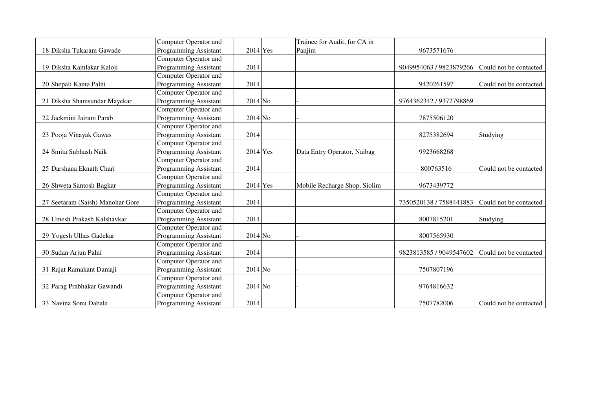|                                  | <b>Computer Operator and</b> |            | Trainee for Audit, for CA in |                         |                        |
|----------------------------------|------------------------------|------------|------------------------------|-------------------------|------------------------|
| 18 Diksha Tukaram Gawade         | <b>Programming Assistant</b> | $2014$ Yes | Panjim                       | 9673571676              |                        |
|                                  | <b>Computer Operator and</b> |            |                              |                         |                        |
| 19 Diksha Kamlakar Kaloji        | <b>Programming Assistant</b> | 2014       |                              | 9049954063 / 9823879266 | Could not be contacted |
|                                  | <b>Computer Operator and</b> |            |                              |                         |                        |
| 20 Shepali Kanta Palni           | <b>Programming Assistant</b> | 2014       |                              | 9420261597              | Could not be contacted |
|                                  | <b>Computer Operator and</b> |            |                              |                         |                        |
| 21 Diksha Shamsundar Mayekar     | <b>Programming Assistant</b> | $2014$ No  |                              | 9764362342 / 9372798869 |                        |
|                                  | <b>Computer Operator and</b> |            |                              |                         |                        |
| 22 Jackmini Jairam Parab         | Programming Assistant        | $2014$ No  |                              | 7875506120              |                        |
|                                  | Computer Operator and        |            |                              |                         |                        |
| 23 Pooja Vinayak Gawas           | <b>Programming Assistant</b> | 2014       |                              | 8275382694              | Studying               |
|                                  | <b>Computer Operator and</b> |            |                              |                         |                        |
| 24 Smita Subhash Naik            | <b>Programming Assistant</b> | $2014$ Yes | Data Entry Operator, Naibag  | 9923668268              |                        |
|                                  | <b>Computer Operator and</b> |            |                              |                         |                        |
| 25 Darshana Eknath Chari         | <b>Programming Assistant</b> | 2014       |                              | 800763516               | Could not be contacted |
|                                  | <b>Computer Operator and</b> |            |                              |                         |                        |
| 26 Shweta Santosh Bagkar         | <b>Programming Assistant</b> | $2014$ Yes | Mobile Recharge Shop, Siolim | 9673439772              |                        |
|                                  | Computer Operator and        |            |                              |                         |                        |
| 27 Seetaram (Saish) Manohar Gore | <b>Programming Assistant</b> | 2014       |                              | 7350520138 / 7588441883 | Could not be contacted |
|                                  | <b>Computer Operator and</b> |            |                              |                         |                        |
| 28 Umesh Prakash Kalshavkar      | Programming Assistant        | 2014       |                              | 8007815201              | Studying               |
|                                  | <b>Computer Operator and</b> |            |                              |                         |                        |
| 29 Yogesh Ulhas Gadekar          | <b>Programming Assistant</b> | $2014$ No  |                              | 8007565930              |                        |
|                                  | Computer Operator and        |            |                              |                         |                        |
| 30 Sudan Arjun Palni             | <b>Programming Assistant</b> | 2014       |                              | 9823813585 / 9049547602 | Could not be contacted |
|                                  | Computer Operator and        |            |                              |                         |                        |
| 31 Rajat Ramakant Damaji         | Programming Assistant        | $2014$ No  |                              | 7507807196              |                        |
|                                  | <b>Computer Operator and</b> |            |                              |                         |                        |
| 32 Parag Prabhakar Gawandi       | Programming Assistant        | $2014$ No  |                              | 9764816632              |                        |
|                                  | Computer Operator and        |            |                              |                         |                        |
| 33 Navina Sonu Dabale            | <b>Programming Assistant</b> | 2014       |                              | 7507782006              | Could not be contacted |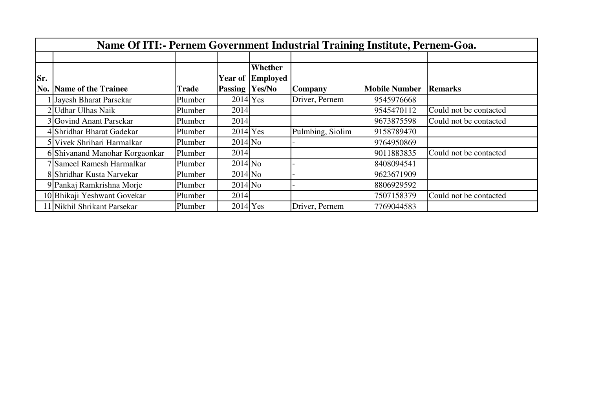|     | Name Of ITI:- Pernem Government Industrial Training Institute, Pernem-Goa. |         |                       |                         |                  |                      |                        |  |  |  |  |
|-----|----------------------------------------------------------------------------|---------|-----------------------|-------------------------|------------------|----------------------|------------------------|--|--|--|--|
|     |                                                                            |         |                       |                         |                  |                      |                        |  |  |  |  |
|     |                                                                            |         |                       | Whether                 |                  |                      |                        |  |  |  |  |
| Sr. |                                                                            |         |                       | <b>Year of Employed</b> |                  |                      |                        |  |  |  |  |
| No. | <b>Name of the Trainee</b>                                                 | Trade   | <b>Passing Yes/No</b> |                         | Company          | <b>Mobile Number</b> | Remarks                |  |  |  |  |
|     | Jayesh Bharat Parsekar                                                     | Plumber | $2014$ Yes            |                         | Driver, Pernem   | 9545976668           |                        |  |  |  |  |
|     | 2 Udhar Ulhas Naik                                                         | Plumber | 2014                  |                         |                  | 9545470112           | Could not be contacted |  |  |  |  |
|     | 3 Govind Anant Parsekar                                                    | Plumber | 2014                  |                         |                  | 9673875598           | Could not be contacted |  |  |  |  |
|     | 4 Shridhar Bharat Gadekar                                                  | Plumber | $2014$ Yes            |                         | Pulmbing, Siolim | 9158789470           |                        |  |  |  |  |
|     | 5 Vivek Shrihari Harmalkar                                                 | Plumber | $2014$ No             |                         |                  | 9764950869           |                        |  |  |  |  |
|     | 6 Shivanand Manohar Korgaonkar                                             | Plumber | 2014                  |                         |                  | 9011883835           | Could not be contacted |  |  |  |  |
|     | 7 Sameel Ramesh Harmalkar                                                  | Plumber | $2014$ No             |                         |                  | 8408094541           |                        |  |  |  |  |
|     | 8 Shridhar Kusta Narvekar                                                  | Plumber | $2014$ No             |                         |                  | 9623671909           |                        |  |  |  |  |
|     | 9 Pankaj Ramkrishna Morje                                                  | Plumber | $2014$ No             |                         |                  | 8806929592           |                        |  |  |  |  |
|     | 10 Bhikaji Yeshwant Govekar                                                | Plumber | 2014                  |                         |                  | 7507158379           | Could not be contacted |  |  |  |  |
|     | l 1 Nikhil Shrikant Parsekar                                               | Plumber | $2014$ Yes            |                         | Driver, Pernem   | 7769044583           |                        |  |  |  |  |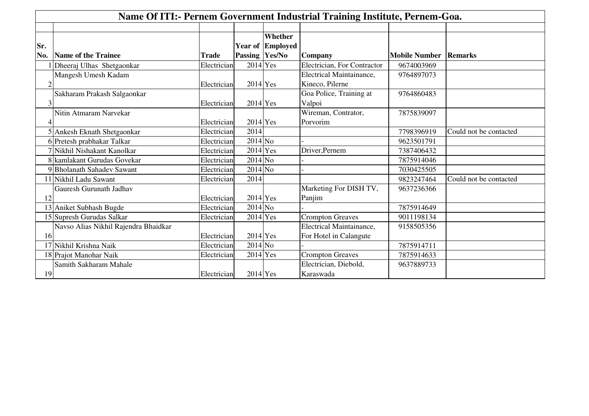|                | Name Of ITI:- Pernem Government Industrial Training Institute, Pernem-Goa. |              |                |                         |                                 |                      |                        |  |  |
|----------------|----------------------------------------------------------------------------|--------------|----------------|-------------------------|---------------------------------|----------------------|------------------------|--|--|
|                |                                                                            |              |                |                         |                                 |                      |                        |  |  |
|                |                                                                            |              |                | Whether                 |                                 |                      |                        |  |  |
| Sr.            |                                                                            |              |                | <b>Year of Employed</b> |                                 |                      |                        |  |  |
| No.            | Name of the Trainee                                                        | <b>Trade</b> | Passing Yes/No |                         | Company                         | <b>Mobile Number</b> | <b>Remarks</b>         |  |  |
|                | Dheeraj Ulhas Shetgaonkar                                                  | Electrician  | $2014$ Yes     |                         | Electrician, For Contractor     | 9674003969           |                        |  |  |
|                | Mangesh Umesh Kadam                                                        |              |                |                         | Electrical Maintainance,        | 9764897073           |                        |  |  |
| $\overline{2}$ |                                                                            | Electrician  | $2014$ Yes     |                         | Kineco, Pilerne                 |                      |                        |  |  |
|                | Sakharam Prakash Salgaonkar                                                |              |                |                         | Goa Police, Training at         | 9764860483           |                        |  |  |
| 3              |                                                                            | Electrician  | $2014$ Yes     |                         | Valpoi                          |                      |                        |  |  |
|                | Nitin Atmaram Narvekar                                                     |              |                |                         | Wireman, Contrator,             | 7875839097           |                        |  |  |
|                |                                                                            | Electrician  | $2014$ Yes     |                         | Porvorim                        |                      |                        |  |  |
|                | 5 Ankesh Eknath Shetgaonkar                                                | Electrician  | 2014           |                         |                                 | 7798396919           | Could not be contacted |  |  |
|                | 6 Pretesh prabhakar Talkar                                                 | Electrician  | $2014$ No      |                         |                                 | 9623501791           |                        |  |  |
|                | 7 Nikhil Nishakant Kanolkar                                                | Electrician  | $2014$ Yes     |                         | Driver, Pernem                  | 7387406432           |                        |  |  |
|                | 8 kamlakant Gurudas Govekar                                                | Electrician  | $2014$ No      |                         |                                 | 7875914046           |                        |  |  |
|                | 9 Bholanath Sahadev Sawant                                                 | Electrician  | $2014$ No      |                         |                                 | 7030425505           |                        |  |  |
|                | 11 Nikhil Ladu Sawant                                                      | Electrician  | 2014           |                         |                                 | 9823247464           | Could not be contacted |  |  |
|                | <b>Gauresh Gurunath Jadhav</b>                                             |              |                |                         | Marketing For DISH TV,          | 9637236366           |                        |  |  |
| 12             |                                                                            | Electrician  | $2014$ Yes     |                         | Panjim                          |                      |                        |  |  |
|                | 13 Aniket Subhash Bugde                                                    | Electrician  | $2014$ No      |                         |                                 | 7875914649           |                        |  |  |
|                | 15 Supresh Gurudas Salkar                                                  | Electrician  | $2014$ Yes     |                         | <b>Crompton Greaves</b>         | 9011198134           |                        |  |  |
|                | Navso Alias Nikhil Rajendra Bhaidkar                                       |              |                |                         | <b>Electrical Maintainance,</b> | 9158505356           |                        |  |  |
| 16             |                                                                            | Electrician  | $2014$ Yes     |                         | For Hotel in Calangute          |                      |                        |  |  |
|                | 17 Nikhil Krishna Naik                                                     | Electrician  | $2014$ No      |                         |                                 | 7875914711           |                        |  |  |
|                | 18 Prajot Manohar Naik                                                     | Electrician  | $2014$ Yes     |                         | <b>Crompton Greaves</b>         | 7875914633           |                        |  |  |
|                | Samith Sakharam Mahale                                                     |              |                |                         | Electrician, Diebold,           | 9637889733           |                        |  |  |
| 19             |                                                                            | Electrician  | $2014$ Yes     |                         | Karaswada                       |                      |                        |  |  |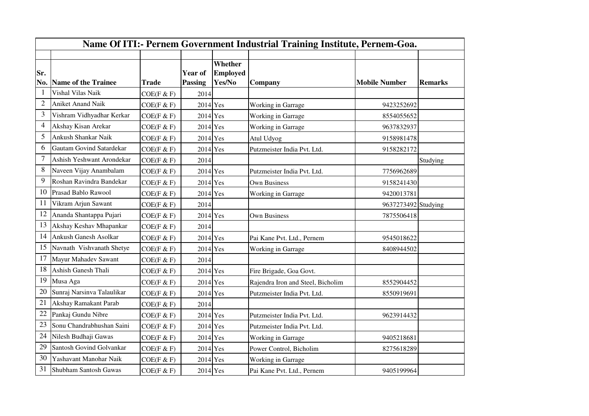|                | Name Of ITI:- Pernem Government Industrial Training Institute, Pernem-Goa. |              |                                  |                                             |                                   |                      |                |  |  |  |  |
|----------------|----------------------------------------------------------------------------|--------------|----------------------------------|---------------------------------------------|-----------------------------------|----------------------|----------------|--|--|--|--|
|                |                                                                            |              |                                  |                                             |                                   |                      |                |  |  |  |  |
| Sr.<br>No.     | <b>Name of the Trainee</b>                                                 | <b>Trade</b> | <b>Year of</b><br><b>Passing</b> | <b>Whether</b><br><b>Employed</b><br>Yes/No | Company                           | <b>Mobile Number</b> | <b>Remarks</b> |  |  |  |  |
| $\mathbf{1}$   | Vishal Vilas Naik                                                          | COE(F & F)   | 2014                             |                                             |                                   |                      |                |  |  |  |  |
| $\overline{2}$ | <b>Aniket Anand Naik</b>                                                   | COE(F & F)   | $2014$ Yes                       |                                             | Working in Garrage                | 9423252692           |                |  |  |  |  |
| 3              | Vishram Vidhyadhar Kerkar                                                  | COE(F & F)   | $2014$ Yes                       |                                             | Working in Garrage                | 8554055652           |                |  |  |  |  |
| 4              | Akshay Kisan Arekar                                                        | COE(F & F)   | $2014$ Yes                       |                                             | Working in Garrage                | 9637832937           |                |  |  |  |  |
| 5              | Ankush Shankar Naik                                                        | COE(F & F)   | $2014$ Yes                       |                                             | Atul Udyog                        | 9158981478           |                |  |  |  |  |
| 6              | Gautam Govind Satardekar                                                   | COE(F & F)   | $2014$ Yes                       |                                             | Putzmeister India Pvt. Ltd.       | 9158282172           |                |  |  |  |  |
| 7              | Ashish Yeshwant Arondekar                                                  | COE(F & F)   | 2014                             |                                             |                                   |                      | Studying       |  |  |  |  |
| 8              | Naveen Vijay Anambalam                                                     | COE(F & F)   | $2014$ Yes                       |                                             | Putzmeister India Pvt. Ltd.       | 7756962689           |                |  |  |  |  |
| 9              | Roshan Ravindra Bandekar                                                   | COE(F & F)   | $2014$ Yes                       |                                             | <b>Own Business</b>               | 9158241430           |                |  |  |  |  |
| 10             | Prasad Bablo Rawool                                                        | COE(F & F)   | $2014$ Yes                       |                                             | Working in Garrage                | 9420013781           |                |  |  |  |  |
| 11             | Vikram Arjun Sawant                                                        | COE(F & F)   | 2014                             |                                             |                                   | 9637273492 Studying  |                |  |  |  |  |
| 12             | Ananda Shantappa Pujari                                                    | COE(F & F)   | $2014$ Yes                       |                                             | <b>Own Business</b>               | 7875506418           |                |  |  |  |  |
| 13             | Akshay Keshav Mhapankar                                                    | COE(F & F)   | 2014                             |                                             |                                   |                      |                |  |  |  |  |
| 14             | Ankush Ganesh Asolkar                                                      | COE(F & F)   | $2014$ Yes                       |                                             | Pai Kane Pvt. Ltd., Pernem        | 9545018622           |                |  |  |  |  |
| 15             | Navnath Vishvanath Shetye                                                  | COE(F & F)   | $2014$ Yes                       |                                             | Working in Garrage                | 8408944502           |                |  |  |  |  |
| 17             | Mayur Mahadev Sawant                                                       | COE(F & F)   | 2014                             |                                             |                                   |                      |                |  |  |  |  |
| 18             | Ashish Ganesh Thali                                                        | COE(F & F)   | $2014$ Yes                       |                                             | Fire Brigade, Goa Govt.           |                      |                |  |  |  |  |
| 19             | Musa Aga                                                                   | COE(F & F)   | $2014$ Yes                       |                                             | Rajendra Iron and Steel, Bicholim | 8552904452           |                |  |  |  |  |
| 20             | Sunraj Narsinva Talaulikar                                                 | COE(F & F)   | $2014$ Yes                       |                                             | Putzmeister India Pvt. Ltd.       | 8550919691           |                |  |  |  |  |
| 21             | Akshay Ramakant Parab                                                      | COE(F & F)   | 2014                             |                                             |                                   |                      |                |  |  |  |  |
| $22\,$         | Pankaj Gundu Nibre                                                         | COE(F & F)   | $2014$ Yes                       |                                             | Putzmeister India Pvt. Ltd.       | 9623914432           |                |  |  |  |  |
| 23             | Sonu Chandrabhushan Saini                                                  | COE(F & F)   | $2014$ Yes                       |                                             | Putzmeister India Pvt. Ltd.       |                      |                |  |  |  |  |
| 24             | Nilesh Budhaji Gawas                                                       | COE(F & F)   | $2014$ Yes                       |                                             | Working in Garrage                | 9405218681           |                |  |  |  |  |
| 29             | Santosh Govind Golvankar                                                   | COE(F & F)   | $2014$ Yes                       |                                             | Power Control, Bicholim           | 8275618289           |                |  |  |  |  |
| 30             | Yashavant Manohar Naik                                                     | COE(F & F)   | $2014$ Yes                       |                                             | Working in Garrage                |                      |                |  |  |  |  |
| 31             | Shubham Santosh Gawas                                                      | COE(F & F)   | 2014 Yes                         |                                             | Pai Kane Pvt. Ltd., Pernem        | 9405199964           |                |  |  |  |  |